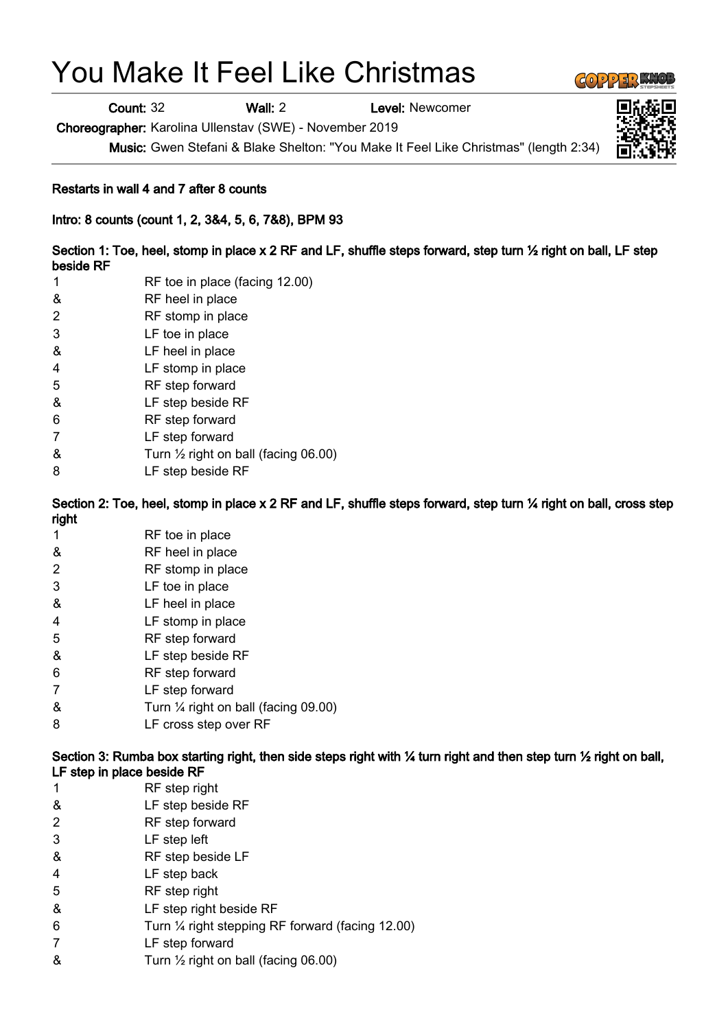## You Make It Feel Like Christmas

Count: 32 Wall: 2 Level: Newcomer

Choreographer: Karolina Ullenstav (SWE) - November 2019

Music: Gwen Stefani & Blake Shelton: "You Make It Feel Like Christmas" (length 2:34)

## Restarts in wall 4 and 7 after 8 counts

Intro: 8 counts (count 1, 2, 3&4, 5, 6, 7&8), BPM 93

Section 1: Toe, heel, stomp in place x 2 RF and LF, shuffle steps forward, step turn ½ right on ball, LF step beside RF

- 1 RF toe in place (facing 12.00)
- & RF heel in place
- 2 RF stomp in place
- 3 LF toe in place
- & LF heel in place
- 4 LF stomp in place
- 5 RF step forward
- & LF step beside RF
- 6 RF step forward
- 7 LF step forward
- & Turn ½ right on ball (facing 06.00)
- 8 LF step beside RF

Section 2: Toe, heel, stomp in place x 2 RF and LF, shuffle steps forward, step turn 1/4 right on ball, cross step right

- 1 RF toe in place
- & RF heel in place
- 2 RF stomp in place
- 3 LF toe in place
- & LF heel in place
- 4 LF stomp in place
- 5 RF step forward
- & LF step beside RF
- 6 RF step forward
- 7 LF step forward
- & Turn ¼ right on ball (facing 09.00)
- 8 LF cross step over RF

Section 3: Rumba box starting right, then side steps right with  $\frac{1}{2}$  turn right and then step turn  $\frac{1}{2}$  right on ball, LF step in place beside RF

- 1 RF step right
- & LF step beside RF
- 2 RF step forward
- 3 LF step left
- & RF step beside LF
- 4 LF step back
- 5 RF step right
- & LF step right beside RF
- 6 Turn ¼ right stepping RF forward (facing 12.00)
- 7 LF step forward
- & Turn ½ right on ball (facing 06.00)